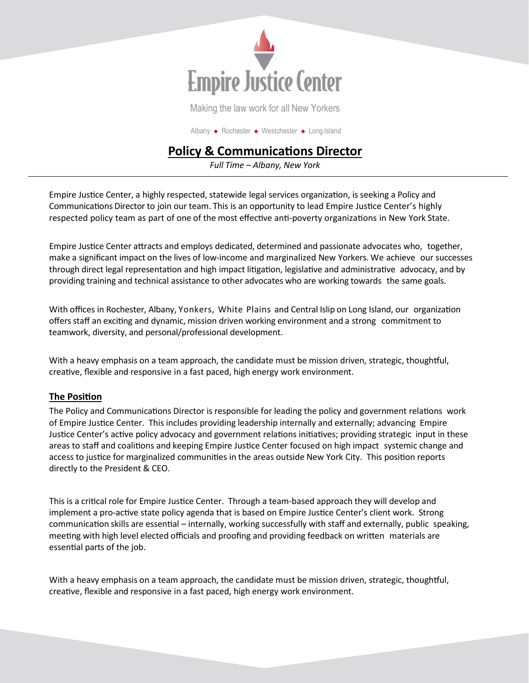

Making the law work for all New Yorkers

Albany ◆ Rochester ◆ Westchester ◆ Long Island

# **Policy & Communications Director**

*Full Time – Albany, New York*

Empire Justice Center, a highly respected, statewide legal services organization, is seeking a Policy and Communications Director to join our team. This is an opportunity to lead Empire Justice Center's highly respected policy team as part of one of the most effective anti-poverty organizations in New York State.

Empire Justice Center attracts and employs dedicated, determined and passionate advocates who, together, make a significant impact on the lives of low-income and marginalized New Yorkers. We achieve our successes through direct legal representation and high impact litigation, legislative and administrative advocacy, and by providing training and technical assistance to other advocates who are working towards the same goals.

With offices in Rochester, Albany, Yonkers, White Plains and Central Islip on Long Island, our organization offersstaff an exciting and dynamic, mission driven working environment and a strong commitment to teamwork, diversity, and personal/professional development.

With a heavy emphasis on a team approach, the candidate must be mission driven, strategic, thoughtful, creative, flexible and responsive in a fast paced, high energy work environment.

### **The Position**

The Policy and Communications Director is responsible for leading the policy and government relations work of Empire Justice Center. This includes providing leadership internally and externally; advancing Empire Justice Center's active policy advocacy and government relations initiatives; providing strategic input in these areas to staff and coalitions and keeping Empire Justice Center focused on high impact systemic change and access to justice for marginalized communities in the areas outside New York City. This position reports directly to the President & CEO.

This is a critical role for Empire Justice Center. Through a team-based approach they will develop and implement a pro-active state policy agenda that is based on Empire Justice Center's client work. Strong communication skills are essential – internally, working successfully with staff and externally, public speaking, meeting with high level elected officials and proofing and providing feedback on written materials are essential parts of the job.

With a heavy emphasis on a team approach, the candidate must be mission driven, strategic, thoughtful, creative, flexible and responsive in a fast paced, high energy work environment.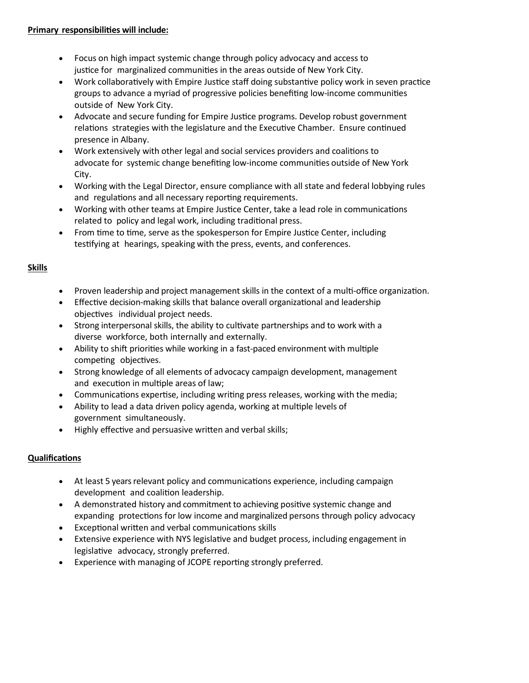- Focus on high impact systemic change through policy advocacy and access to justice for marginalized communities in the areas outside of New York City.
- Work collaboratively with Empire Justice staff doing substantive policy work in seven practice groups to advance a myriad of progressive policies benefiting low-income communities outside of New York City.
- Advocate and secure funding for Empire Justice programs. Develop robust government relations strategies with the legislature and the Executive Chamber. Ensure continued presence in Albany.
- Work extensively with other legal and social services providers and coalitions to advocate for systemic change benefiting low-income communities outside of New York City.
- Working with the Legal Director, ensure compliance with all state and federal lobbying rules and regulations and all necessary reporting requirements.
- Working with other teams at Empire Justice Center, take a lead role in communications related to policy and legal work, including traditional press.
- From time to time, serve as the spokesperson for Empire Justice Center, including testifying at hearings, speaking with the press, events, and conferences.

### **Skills**

- Proven leadership and project management skills in the context of a multi-office organization.
- Effective decision-making skills that balance overall organizational and leadership objectives individual project needs.
- Strong interpersonal skills, the ability to cultivate partnerships and to work with a diverse workforce, both internally and externally.
- Ability to shift priorities while working in a fast-paced environment with multiple competing objectives.
- Strong knowledge of all elements of advocacy campaign development, management and execution in multiple areas of law;
- Communications expertise, including writing press releases, working with the media;
- Ability to lead a data driven policy agenda, working at multiple levels of government simultaneously.
- Highly effective and persuasive written and verbal skills;

### **Qualifications**

- At least 5 years relevant policy and communications experience, including campaign development and coalition leadership.
- A demonstrated history and commitment to achieving positive systemic change and expanding protections for low income and marginalized persons through policy advocacy
- Exceptional written and verbal communications skills
- Extensive experience with NYS legislative and budget process, including engagement in legislative advocacy, strongly preferred.
- Experience with managing of JCOPE reporting strongly preferred.